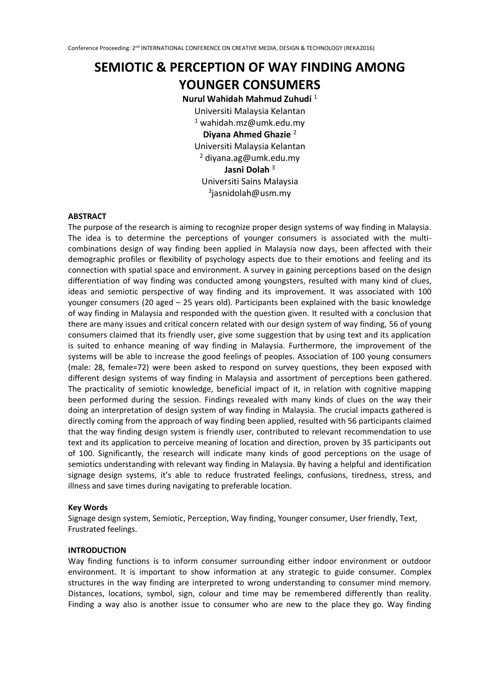# **SEMIOTIC & PERCEPTION OF WAY FINDING AMONG YOUNGER CONSUMERS**

### **Nurul Wahidah Mahmud Zuhudi** <sup>1</sup>

Universiti Malaysia Kelantan  $1$  wahidah.mz@umk.edu.my **Diyana Ahmed Ghazie** <sup>2</sup> Universiti Malaysia Kelantan  $2$  diyana.ag@umk.edu.my **Jasni Dolah** <sup>3</sup> Universiti Sains Malaysia 3 jasnidolah@usm.my

### **ABSTRACT**

The purpose of the research is aiming to recognize proper design systems of way finding in Malaysia. The idea is to determine the perceptions of younger consumers is associated with the multicombinations design of way finding been applied in Malaysia now days, been affected with their demographic profiles or flexibility of psychology aspects due to their emotions and feeling and its connection with spatial space and environment. A survey in gaining perceptions based on the design differentiation of way finding was conducted among youngsters, resulted with many kind of clues, ideas and semiotic perspective of way finding and its improvement. It was associated with 100 younger consumers (20 aged – 25 years old). Participants been explained with the basic knowledge of way finding in Malaysia and responded with the question given. It resulted with a conclusion that there are many issues and critical concern related with our design system of way finding, 56 of young consumers claimed that its friendly user, give some suggestion that by using text and its application is suited to enhance meaning of way finding in Malaysia. Furthermore, the improvement of the systems will be able to increase the good feelings of peoples. Association of 100 young consumers (male: 28, female=72) were been asked to respond on survey questions, they been exposed with different design systems of way finding in Malaysia and assortment of perceptions been gathered. The practicality of semiotic knowledge, beneficial impact of it, in relation with cognitive mapping been performed during the session. Findings revealed with many kinds of clues on the way their doing an interpretation of design system of way finding in Malaysia. The crucial impacts gathered is directly coming from the approach of way finding been applied, resulted with 56 participants claimed that the way finding design system is friendly user, contributed to relevant recommendation to use text and its application to perceive meaning of location and direction, proven by 35 participants out of 100. Significantly, the research will indicate many kinds of good perceptions on the usage of semiotics understanding with relevant way finding in Malaysia. By having a helpful and identification signage design systems, it's able to reduce frustrated feelings, confusions, tiredness, stress, and illness and save times during navigating to preferable location.

# **Key Words**

Signage design system, Semiotic, Perception, Way finding, Younger consumer, User friendly, Text, Frustrated feelings.

### **INTRODUCTION**

Way finding functions is to inform consumer surrounding either indoor environment or outdoor environment. It is important to show information at any strategic to guide consumer. Complex structures in the way finding are interpreted to wrong understanding to consumer mind memory. Distances, locations, symbol, sign, colour and time may be remembered differently than reality. Finding a way also is another issue to consumer who are new to the place they go. Way finding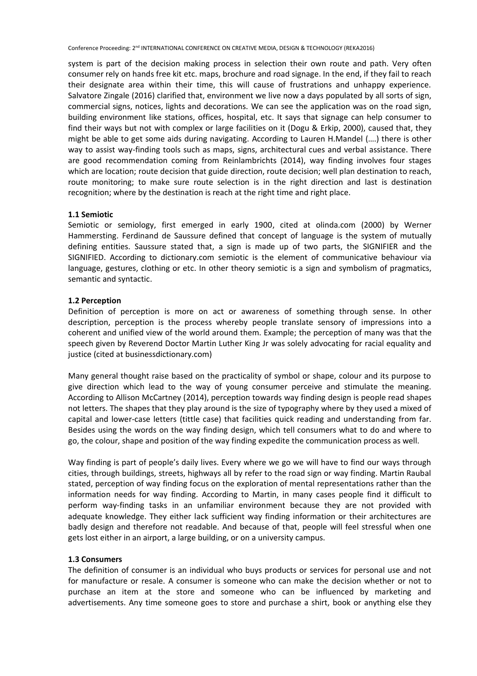system is part of the decision making process in selection their own route and path. Very often consumer rely on hands free kit etc. maps, brochure and road signage. In the end, if they fail to reach their designate area within their time, this will cause of frustrations and unhappy experience. Salvatore Zingale (2016) clarified that, environment we live now a days populated by all sorts of sign, commercial signs, notices, lights and decorations. We can see the application was on the road sign, building environment like stations, offices, hospital, etc. It says that signage can help consumer to find their ways but not with complex or large facilities on it (Dogu & Erkip, 2000), caused that, they might be able to get some aids during navigating. According to Lauren H.Mandel (….) there is other way to assist way-finding tools such as maps, signs, architectural cues and verbal assistance. There are good recommendation coming from Reinlambrichts (2014), way finding involves four stages which are location; route decision that guide direction, route decision; well plan destination to reach, route monitoring; to make sure route selection is in the right direction and last is destination recognition; where by the destination is reach at the right time and right place.

# **1.1 Semiotic**

Semiotic or semiology, first emerged in early 1900, cited at olinda.com (2000) by Werner Hammersting. Ferdinand de Saussure defined that concept of language is the system of mutually defining entities. Saussure stated that, a sign is made up of two parts, the SIGNIFIER and the SIGNIFIED. According to dictionary.com semiotic is the element of communicative behaviour via language, gestures, clothing or etc. In other theory semiotic is a sign and symbolism of pragmatics, semantic and syntactic.

# **1.2 Perception**

Definition of perception is more on act or awareness of something through sense. In other description, perception is the process whereby people translate sensory of impressions into a coherent and unified view of the world around them. Example; the perception of many was that the speech given by Reverend Doctor Martin Luther King Jr was solely advocating for racial equality and justice (cited at businessdictionary.com)

Many general thought raise based on the practicality of symbol or shape, colour and its purpose to give direction which lead to the way of young consumer perceive and stimulate the meaning. According to Allison McCartney (2014), perception towards way finding design is people read shapes not letters. The shapes that they play around is the size of typography where by they used a mixed of capital and lower-case letters (tittle case) that facilities quick reading and understanding from far. Besides using the words on the way finding design, which tell consumers what to do and where to go, the colour, shape and position of the way finding expedite the communication process as well.

Way finding is part of people's daily lives. Every where we go we will have to find our ways through cities, through buildings, streets, highways all by refer to the road sign or way finding. Martin Raubal stated, perception of way finding focus on the exploration of mental representations rather than the information needs for way finding. According to Martin, in many cases people find it difficult to perform way-finding tasks in an unfamiliar environment because they are not provided with adequate knowledge. They either lack sufficient way finding information or their architectures are badly design and therefore not readable. And because of that, people will feel stressful when one gets lost either in an airport, a large building, or on a university campus.

# **1.3 Consumers**

The definition of consumer is an individual who buys products or services for personal use and not for manufacture or resale. A consumer is someone who can make the decision whether or not to purchase an item at the store and someone who can be influenced by marketing and advertisements. Any time someone goes to store and purchase a shirt, book or anything else they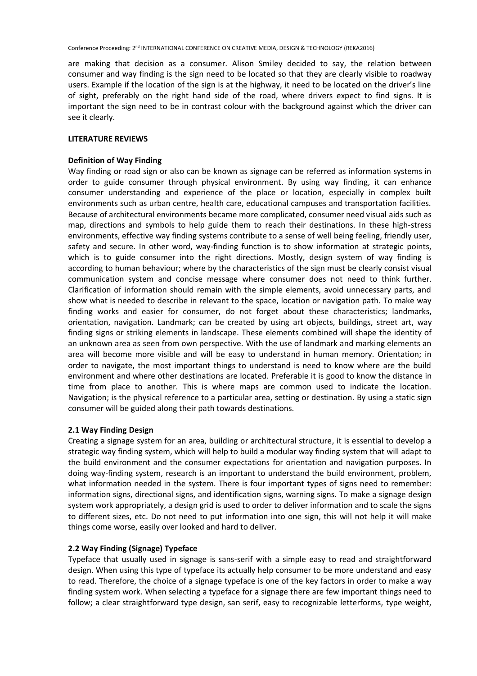are making that decision as a consumer. Alison Smiley decided to say, the relation between consumer and way finding is the sign need to be located so that they are clearly visible to roadway users. Example if the location of the sign is at the highway, it need to be located on the driver's line of sight, preferably on the right hand side of the road, where drivers expect to find signs. It is important the sign need to be in contrast colour with the background against which the driver can see it clearly.

### **LITERATURE REVIEWS**

# **Definition of Way Finding**

Way finding or road sign or also can be known as signage can be referred as information systems in order to guide consumer through physical environment. By using way finding, it can enhance consumer understanding and experience of the place or location, especially in complex built environments such as urban centre, health care, educational campuses and transportation facilities. Because of architectural environments became more complicated, consumer need visual aids such as map, directions and symbols to help guide them to reach their destinations. In these high-stress environments, effective way finding systems contribute to a sense of well being feeling, friendly user, safety and secure. In other word, way-finding function is to show information at strategic points, which is to guide consumer into the right directions. Mostly, design system of way finding is according to human behaviour; where by the characteristics of the sign must be clearly consist visual communication system and concise message where consumer does not need to think further. Clarification of information should remain with the simple elements, avoid unnecessary parts, and show what is needed to describe in relevant to the space, location or navigation path. To make way finding works and easier for consumer, do not forget about these characteristics; landmarks, orientation, navigation. Landmark; can be created by using art objects, buildings, street art, way finding signs or striking elements in landscape. These elements combined will shape the identity of an unknown area as seen from own perspective. With the use of landmark and marking elements an area will become more visible and will be easy to understand in human memory. Orientation; in order to navigate, the most important things to understand is need to know where are the build environment and where other destinations are located. Preferable it is good to know the distance in time from place to another. This is where maps are common used to indicate the location. Navigation; is the physical reference to a particular area, setting or destination. By using a static sign consumer will be guided along their path towards destinations.

# **2.1 Way Finding Design**

Creating a signage system for an area, building or architectural structure, it is essential to develop a strategic way finding system, which will help to build a modular way finding system that will adapt to the build environment and the consumer expectations for orientation and navigation purposes. In doing way-finding system, research is an important to understand the build environment, problem, what information needed in the system. There is four important types of signs need to remember: information signs, directional signs, and identification signs, warning signs. To make a signage design system work appropriately, a design grid is used to order to deliver information and to scale the signs to different sizes, etc. Do not need to put information into one sign, this will not help it will make things come worse, easily over looked and hard to deliver.

# **2.2 Way Finding (Signage) Typeface**

Typeface that usually used in signage is sans-serif with a simple easy to read and straightforward design. When using this type of typeface its actually help consumer to be more understand and easy to read. Therefore, the choice of a signage typeface is one of the key factors in order to make a way finding system work. When selecting a typeface for a signage there are few important things need to follow; a clear straightforward type design, san serif, easy to recognizable letterforms, type weight,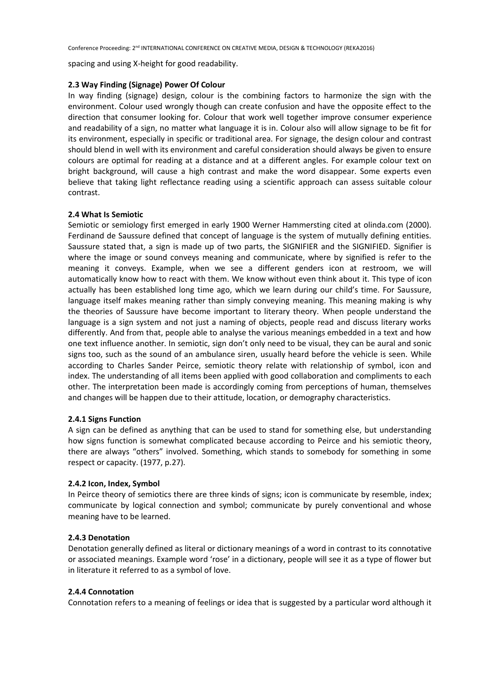spacing and using X-height for good readability.

# **2.3 Way Finding (Signage) Power Of Colour**

In way finding (signage) design, colour is the combining factors to harmonize the sign with the environment. Colour used wrongly though can create confusion and have the opposite effect to the direction that consumer looking for. Colour that work well together improve consumer experience and readability of a sign, no matter what language it is in. Colour also will allow signage to be fit for its environment, especially in specific or traditional area. For signage, the design colour and contrast should blend in well with its environment and careful consideration should always be given to ensure colours are optimal for reading at a distance and at a different angles. For example colour text on bright background, will cause a high contrast and make the word disappear. Some experts even believe that taking light reflectance reading using a scientific approach can assess suitable colour contrast.

# **2.4 What Is Semiotic**

Semiotic or semiology first emerged in early 1900 Werner Hammersting cited at olinda.com (2000). Ferdinand de Saussure defined that concept of language is the system of mutually defining entities. Saussure stated that, a sign is made up of two parts, the SIGNIFIER and the SIGNIFIED. Signifier is where the image or sound conveys meaning and communicate, where by signified is refer to the meaning it conveys. Example, when we see a different genders icon at restroom, we will automatically know how to react with them. We know without even think about it. This type of icon actually has been established long time ago, which we learn during our child's time. For Saussure, language itself makes meaning rather than simply conveying meaning. This meaning making is why the theories of Saussure have become important to literary theory. When people understand the language is a sign system and not just a naming of objects, people read and discuss literary works differently. And from that, people able to analyse the various meanings embedded in a text and how one text influence another. In semiotic, sign don't only need to be visual, they can be aural and sonic signs too, such as the sound of an ambulance siren, usually heard before the vehicle is seen. While according to Charles Sander Peirce, semiotic theory relate with relationship of symbol, icon and index. The understanding of all items been applied with good collaboration and compliments to each other. The interpretation been made is accordingly coming from perceptions of human, themselves and changes will be happen due to their attitude, location, or demography characteristics.

# **2.4.1 Signs Function**

A sign can be defined as anything that can be used to stand for something else, but understanding how signs function is somewhat complicated because according to Peirce and his semiotic theory, there are always "others" involved. Something, which stands to somebody for something in some respect or capacity. (1977, p.27).

# **2.4.2 Icon, Index, Symbol**

In Peirce theory of semiotics there are three kinds of signs; icon is communicate by resemble, index; communicate by logical connection and symbol; communicate by purely conventional and whose meaning have to be learned.

# **2.4.3 Denotation**

Denotation generally defined as literal or dictionary meanings of a word in contrast to its connotative or associated meanings. Example word 'rose' in a dictionary, people will see it as a type of flower but in literature it referred to as a symbol of love.

# **2.4.4 Connotation**

Connotation refers to a meaning of feelings or idea that is suggested by a particular word although it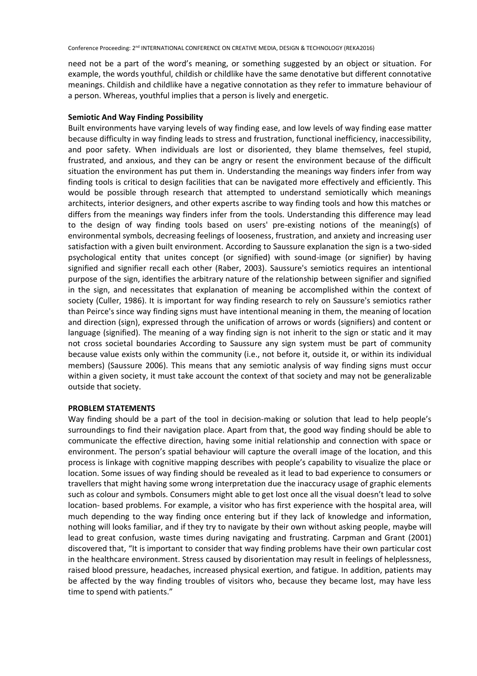need not be a part of the word's meaning, or something suggested by an object or situation. For example, the words youthful, childish or childlike have the same denotative but different connotative meanings. Childish and childlike have a negative connotation as they refer to immature behaviour of a person. Whereas, youthful implies that a person is lively and energetic.

# **Semiotic And Way Finding Possibility**

Built environments have varying levels of way finding ease, and low levels of way finding ease matter because difficulty in way finding leads to stress and frustration, functional inefficiency, inaccessibility, and poor safety. When individuals are lost or disoriented, they blame themselves, feel stupid, frustrated, and anxious, and they can be angry or resent the environment because of the difficult situation the environment has put them in. Understanding the meanings way finders infer from way finding tools is critical to design facilities that can be navigated more effectively and efficiently. This would be possible through research that attempted to understand semiotically which meanings architects, interior designers, and other experts ascribe to way finding tools and how this matches or differs from the meanings way finders infer from the tools. Understanding this difference may lead to the design of way finding tools based on users' pre-existing notions of the meaning(s) of environmental symbols, decreasing feelings of looseness, frustration, and anxiety and increasing user satisfaction with a given built environment. According to Saussure explanation the sign is a two-sided psychological entity that unites concept (or signified) with sound-image (or signifier) by having signified and signifier recall each other (Raber, 2003). Saussure's semiotics requires an intentional purpose of the sign, identifies the arbitrary nature of the relationship between signifier and signified in the sign, and necessitates that explanation of meaning be accomplished within the context of society (Culler, 1986). It is important for way finding research to rely on Saussure's semiotics rather than Peirce's since way finding signs must have intentional meaning in them, the meaning of location and direction (sign), expressed through the unification of arrows or words (signifiers) and content or language (signified). The meaning of a way finding sign is not inherit to the sign or static and it may not cross societal boundaries According to Saussure any sign system must be part of community because value exists only within the community (i.e., not before it, outside it, or within its individual members) (Saussure 2006). This means that any semiotic analysis of way finding signs must occur within a given society, it must take account the context of that society and may not be generalizable outside that society.

### **PROBLEM STATEMENTS**

Way finding should be a part of the tool in decision-making or solution that lead to help people's surroundings to find their navigation place. Apart from that, the good way finding should be able to communicate the effective direction, having some initial relationship and connection with space or environment. The person's spatial behaviour will capture the overall image of the location, and this process is linkage with cognitive mapping describes with people's capability to visualize the place or location. Some issues of way finding should be revealed as it lead to bad experience to consumers or travellers that might having some wrong interpretation due the inaccuracy usage of graphic elements such as colour and symbols. Consumers might able to get lost once all the visual doesn't lead to solve location- based problems. For example, a visitor who has first experience with the hospital area, will much depending to the way finding once entering but if they lack of knowledge and information, nothing will looks familiar, and if they try to navigate by their own without asking people, maybe will lead to great confusion, waste times during navigating and frustrating. Carpman and Grant (2001) discovered that, "It is important to consider that way finding problems have their own particular cost in the healthcare environment. Stress caused by disorientation may result in feelings of helplessness, raised blood pressure, headaches, increased physical exertion, and fatigue. In addition, patients may be affected by the way finding troubles of visitors who, because they became lost, may have less time to spend with patients."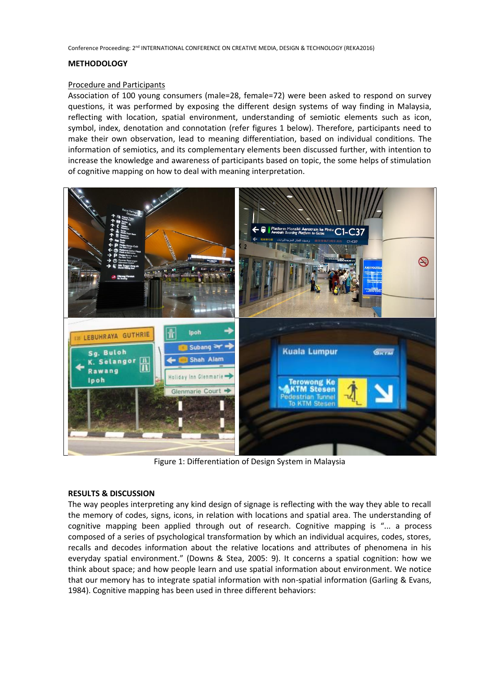### **METHODOLOGY**

### Procedure and Participants

Association of 100 young consumers (male=28, female=72) were been asked to respond on survey questions, it was performed by exposing the different design systems of way finding in Malaysia, reflecting with location, spatial environment, understanding of semiotic elements such as icon, symbol, index, denotation and connotation (refer figures 1 below). Therefore, participants need to make their own observation, lead to meaning differentiation, based on individual conditions. The information of semiotics, and its complementary elements been discussed further, with intention to increase the knowledge and awareness of participants based on topic, the some helps of stimulation of cognitive mapping on how to deal with meaning interpretation.



Figure 1: Differentiation of Design System in Malaysia

#### **RESULTS & DISCUSSION**

The way peoples interpreting any kind design of signage is reflecting with the way they able to recall the memory of codes, signs, icons, in relation with locations and spatial area. The understanding of cognitive mapping been applied through out of research. Cognitive mapping is "... a process composed of a series of psychological transformation by which an individual acquires, codes, stores, recalls and decodes information about the relative locations and attributes of phenomena in his everyday spatial environment." (Downs & Stea, 2005: 9). It concerns a spatial cognition: how we think about space; and how people learn and use spatial information about environment. We notice that our memory has to integrate spatial information with non-spatial information (Garling & Evans, 1984). Cognitive mapping has been used in three different behaviors: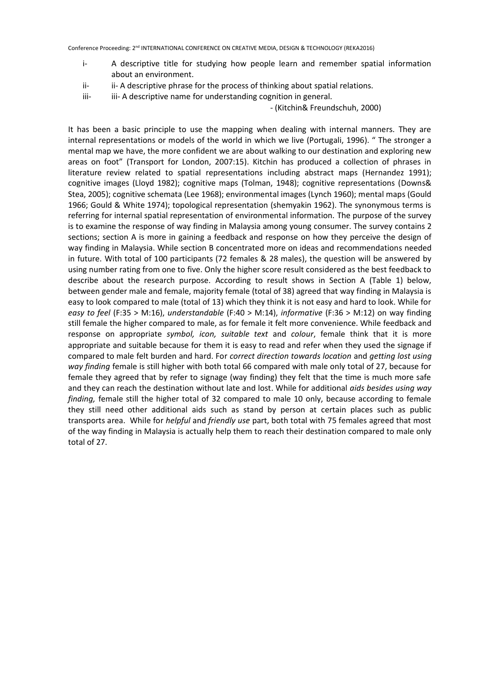- i- A descriptive title for studying how people learn and remember spatial information about an environment.
- ii- ii- A descriptive phrase for the process of thinking about spatial relations.
- iii- iii- A descriptive name for understanding cognition in general.

### - (Kitchin& Freundschuh, 2000)

It has been a basic principle to use the mapping when dealing with internal manners. They are internal representations or models of the world in which we live (Portugali, 1996). " The stronger a mental map we have, the more confident we are about walking to our destination and exploring new areas on foot" (Transport for London, 2007:15). Kitchin has produced a collection of phrases in literature review related to spatial representations including abstract maps (Hernandez 1991); cognitive images (Lloyd 1982); cognitive maps (Tolman, 1948); cognitive representations (Downs& Stea, 2005); cognitive schemata (Lee 1968); environmental images (Lynch 1960); mental maps (Gould 1966; Gould & White 1974); topological representation (shemyakin 1962). The synonymous terms is referring for internal spatial representation of environmental information. The purpose of the survey is to examine the response of way finding in Malaysia among young consumer. The survey contains 2 sections; section A is more in gaining a feedback and response on how they perceive the design of way finding in Malaysia. While section B concentrated more on ideas and recommendations needed in future. With total of 100 participants (72 females & 28 males), the question will be answered by using number rating from one to five. Only the higher score result considered as the best feedback to describe about the research purpose. According to result shows in Section A (Table 1) below, between gender male and female, majority female (total of 38) agreed that way finding in Malaysia is easy to look compared to male (total of 13) which they think it is not easy and hard to look. While for *easy to feel* (F:35 > M:16), *understandable* (F:40 > M:14), *informative* (F:36 > M:12) on way finding still female the higher compared to male, as for female it felt more convenience. While feedback and response on appropriate *symbol, icon, suitable text* and *colour*, female think that it is more appropriate and suitable because for them it is easy to read and refer when they used the signage if compared to male felt burden and hard. For *correct direction towards location* and *getting lost using way finding* female is still higher with both total 66 compared with male only total of 27, because for female they agreed that by refer to signage (way finding) they felt that the time is much more safe and they can reach the destination without late and lost. While for additional *aids besides using way finding,* female still the higher total of 32 compared to male 10 only, because according to female they still need other additional aids such as stand by person at certain places such as public transports area. While for *helpful* and *friendly use* part, both total with 75 females agreed that most of the way finding in Malaysia is actually help them to reach their destination compared to male only total of 27.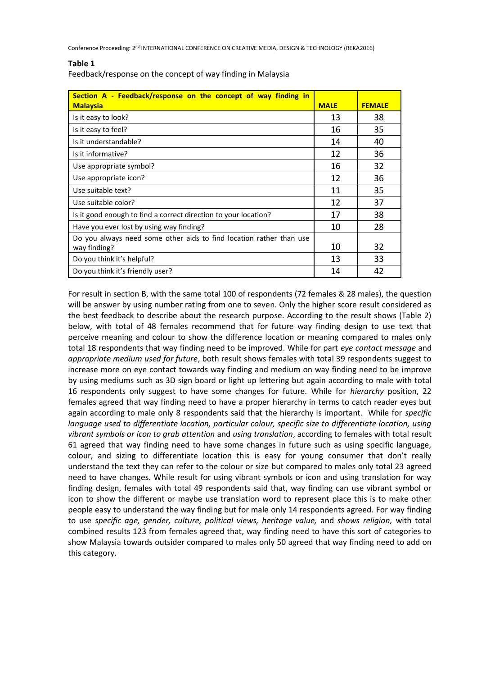### **Table 1**

Feedback/response on the concept of way finding in Malaysia

| Section A - Feedback/response on the concept of way finding in      |             |               |
|---------------------------------------------------------------------|-------------|---------------|
| <b>Malaysia</b>                                                     | <b>MALE</b> | <b>FEMALE</b> |
| Is it easy to look?                                                 | 13          | 38            |
| Is it easy to feel?                                                 | 16          | 35            |
| Is it understandable?                                               | 14          | 40            |
| Is it informative?                                                  | 12          | 36            |
| Use appropriate symbol?                                             | 16          | 32            |
| Use appropriate icon?                                               | 12          | 36            |
| Use suitable text?                                                  | 11          | 35            |
| Use suitable color?                                                 | 12          | 37            |
| Is it good enough to find a correct direction to your location?     | 17          | 38            |
| Have you ever lost by using way finding?                            | 10          | 28            |
| Do you always need some other aids to find location rather than use |             |               |
| way finding?                                                        | 10          | 32            |
| Do you think it's helpful?                                          | 13          | 33            |
| Do you think it's friendly user?                                    | 14          | 42            |

For result in section B, with the same total 100 of respondents (72 females & 28 males), the question will be answer by using number rating from one to seven. Only the higher score result considered as the best feedback to describe about the research purpose. According to the result shows (Table 2) below, with total of 48 females recommend that for future way finding design to use text that perceive meaning and colour to show the difference location or meaning compared to males only total 18 respondents that way finding need to be improved. While for part *eye contact message* and *appropriate medium used for future*, both result shows females with total 39 respondents suggest to increase more on eye contact towards way finding and medium on way finding need to be improve by using mediums such as 3D sign board or light up lettering but again according to male with total 16 respondents only suggest to have some changes for future. While for *hierarchy* position, 22 females agreed that way finding need to have a proper hierarchy in terms to catch reader eyes but again according to male only 8 respondents said that the hierarchy is important. While for *specific language used to differentiate location, particular colour, specific size to differentiate location, using vibrant symbols or icon to grab attention* and *using translation*, according to females with total result 61 agreed that way finding need to have some changes in future such as using specific language, colour, and sizing to differentiate location this is easy for young consumer that don't really understand the text they can refer to the colour or size but compared to males only total 23 agreed need to have changes. While result for using vibrant symbols or icon and using translation for way finding design, females with total 49 respondents said that, way finding can use vibrant symbol or icon to show the different or maybe use translation word to represent place this is to make other people easy to understand the way finding but for male only 14 respondents agreed. For way finding to use *specific age, gender, culture, political views, heritage value,* and *shows religion,* with total combined results 123 from females agreed that, way finding need to have this sort of categories to show Malaysia towards outsider compared to males only 50 agreed that way finding need to add on this category.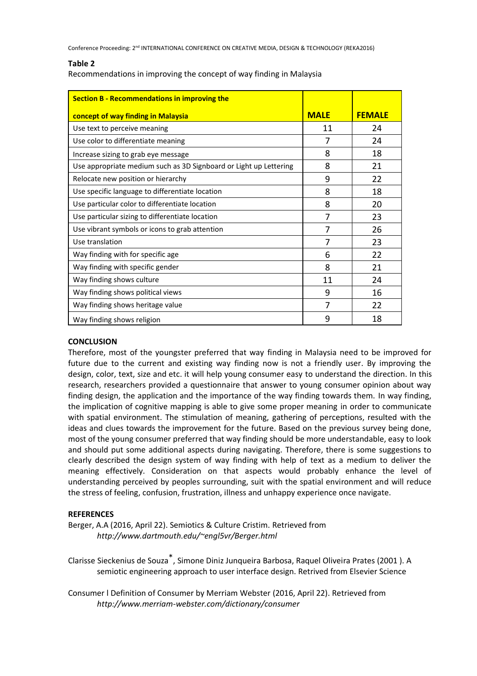### **Table 2**

Recommendations in improving the concept of way finding in Malaysia

| <b>Section B - Recommendations in improving the</b>               |             |               |
|-------------------------------------------------------------------|-------------|---------------|
| concept of way finding in Malaysia                                | <b>MALE</b> | <b>FEMALE</b> |
| Use text to perceive meaning                                      | 11          | 24            |
| Use color to differentiate meaning                                | 7           | 24            |
| Increase sizing to grab eye message                               | 8           | 18            |
| Use appropriate medium such as 3D Signboard or Light up Lettering | 8           | 21            |
| Relocate new position or hierarchy                                | 9           | 22            |
| Use specific language to differentiate location                   | 8           | 18            |
| Use particular color to differentiate location                    | 8           | 20            |
| Use particular sizing to differentiate location                   | 7           | 23            |
| Use vibrant symbols or icons to grab attention                    | 7           | 26            |
| Use translation                                                   | 7           | 23            |
| Way finding with for specific age                                 | 6           | 22            |
| Way finding with specific gender                                  | 8           | 21            |
| Way finding shows culture                                         | 11          | 24            |
| Way finding shows political views                                 | 9           | 16            |
| Way finding shows heritage value                                  | 7           | 22            |
| Way finding shows religion                                        | 9           | 18            |

# **CONCLUSION**

Therefore, most of the youngster preferred that way finding in Malaysia need to be improved for future due to the current and existing way finding now is not a friendly user. By improving the design, color, text, size and etc. it will help young consumer easy to understand the direction. In this research, researchers provided a questionnaire that answer to young consumer opinion about way finding design, the application and the importance of the way finding towards them. In way finding, the implication of cognitive mapping is able to give some proper meaning in order to communicate with spatial environment. The stimulation of meaning, gathering of perceptions, resulted with the ideas and clues towards the improvement for the future. Based on the previous survey being done, most of the young consumer preferred that way finding should be more understandable, easy to look and should put some additional aspects during navigating. Therefore, there is some suggestions to clearly described the design system of way finding with help of text as a medium to deliver the meaning effectively. Consideration on that aspects would probably enhance the level of understanding perceived by peoples surrounding, suit with the spatial environment and will reduce the stress of feeling, confusion, frustration, illness and unhappy experience once navigate.

# **REFERENCES**

Berger, A.A (2016, April 22). Semiotics & Culture Cristim. Retrieved from *http://www.dartmouth.edu/~engl5vr/Berger.html*

Clarisse Sieckenius de Souza\*, Simone Diniz Junqueira Barbosa, Raquel Oliveira Prates (2001 ). A semiotic engineering approach to user interface design. Retrived from Elsevier Science

Consumer l Definition of Consumer by Merriam Webster (2016, April 22). Retrieved from *http://www.merriam-webster.com/dictionary/consumer*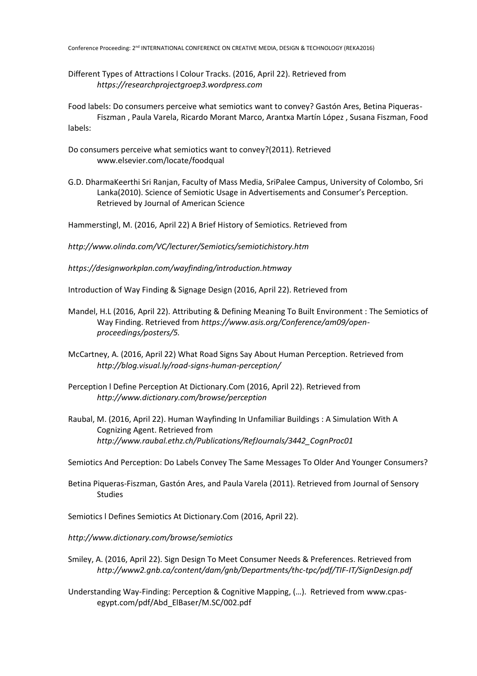Different Types of Attractions l Colour Tracks. (2016, April 22). Retrieved from *https://researchprojectgroep3.wordpress.com*

Food labels: Do consumers perceive what semiotics want to convey? Gastón Ares, Betina Piqueras-Fiszman , Paula Varela, Ricardo Morant Marco, Arantxa Martín López , Susana Fiszman, Food labels:

- Do consumers perceive what semiotics want to convey?(2011). Retrieved www.elsevier.com/locate/foodqual
- G.D. DharmaKeerthi Sri Ranjan, Faculty of Mass Media, SriPalee Campus, University of Colombo, Sri Lanka(2010). Science of Semiotic Usage in Advertisements and Consumer's Perception. Retrieved by Journal of American Science

Hammerstingl, M. (2016, April 22) A Brief History of Semiotics. Retrieved from

*http://www.olinda.com/VC/lecturer/Semiotics/semiotichistory.htm*

*https://designworkplan.com/wayfinding/introduction.htmway*

Introduction of Way Finding & Signage Design (2016, April 22). Retrieved from

- Mandel, H.L (2016, April 22). Attributing & Defining Meaning To Built Environment : The Semiotics of Way Finding. Retrieved from *https://www.asis.org/Conference/am09/openproceedings/posters/5.*
- McCartney, A. (2016, April 22) What Road Signs Say About Human Perception. Retrieved from *http://blog.visual.ly/road-signs-human-perception/*
- Perception l Define Perception At Dictionary.Com (2016, April 22). Retrieved from *http://www.dictionary.com/browse/perception*
- Raubal, M. (2016, April 22). Human Wayfinding In Unfamiliar Buildings : A Simulation With A Cognizing Agent. Retrieved from *http://www.raubal.ethz.ch/Publications/RefJournals/3442\_CognProc01*

Semiotics And Perception: Do Labels Convey The Same Messages To Older And Younger Consumers?.

- Betina Piqueras-Fiszman, Gastón Ares, and Paula Varela (2011). Retrieved from Journal of Sensory Studies
- Semiotics l Defines Semiotics At Dictionary.Com (2016, April 22).

*http://www.dictionary.com/browse/semiotics*

- Smiley, A. (2016, April 22). Sign Design To Meet Consumer Needs & Preferences. Retrieved from *http://www2.gnb.ca/content/dam/gnb/Departments/thc-tpc/pdf/TIF-IT/SignDesign.pdf*
- Understanding Way-Finding: Perception & Cognitive Mapping, (…). Retrieved from www.cpasegypt.com/pdf/Abd\_ElBaser/M.SC/002.pdf